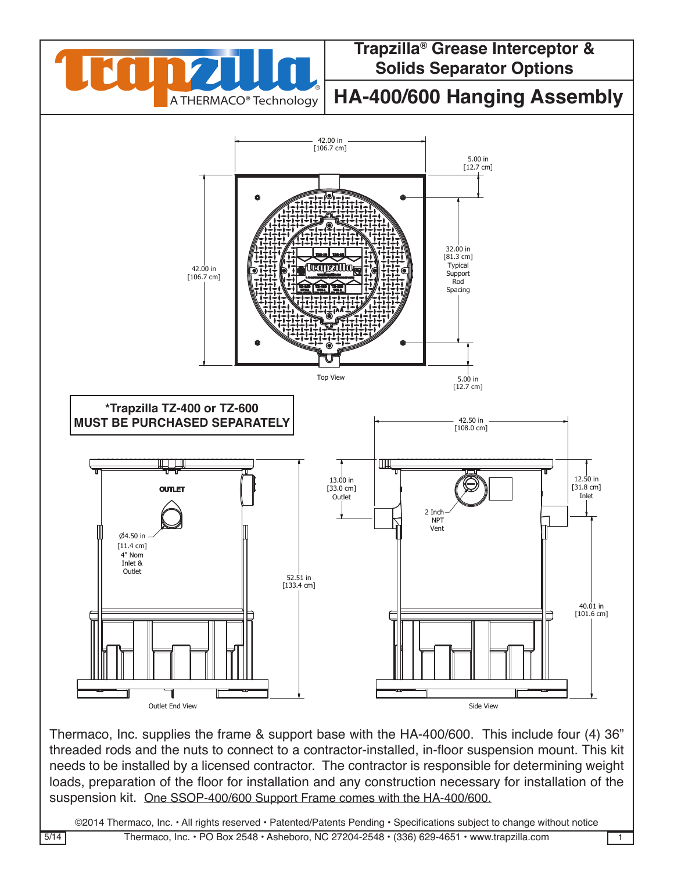

Thermaco, Inc. supplies the frame & support base with the HA-400/600. This include four (4) 36" |<br>threaded rods and the nuts to connect to a contractor-installed. in-floor suspension mount. This kit threaded rods and the nuts to connect to a contractor-installed, in-floor suspension mount. This kit needs to be installed by a licensed contractor. The contractor is responsible for determining weight loads, preparation of the floor for installation and any construction necessary for installation of the suspension kit. One SSOP-400/600 Support Frame comes with the HA-400/600. of the floor for installation and any construction pecessary for installation MATERIAL (UNLESS NOTED) CHECKED SIZE REV. NO. DWG NO.  $\sum_{i=1}^n$  $\frac{3}{4}$   $\frac{3}{4}$   $\frac{3}{4}$   $\frac{3}{4}$   $\frac{3}{4}$   $\frac{3}{4}$   $\frac{3}{4}$   $\frac{3}{4}$   $\frac{3}{4}$   $\frac{3}{4}$   $\frac{3}{4}$   $\frac{3}{4}$   $\frac{3}{4}$   $\frac{3}{4}$   $\frac{3}{4}$   $\frac{3}{4}$   $\frac{3}{4}$   $\frac{3}{4}$   $\frac{3}{4}$   $\frac{3}{4}$   $\frac{3}{4}$   $\frac{3}{4}$ 

©2014 Thermaco, Inc. • All rights reserved • Patented/Patents Pending • Specifications subject to change without notice